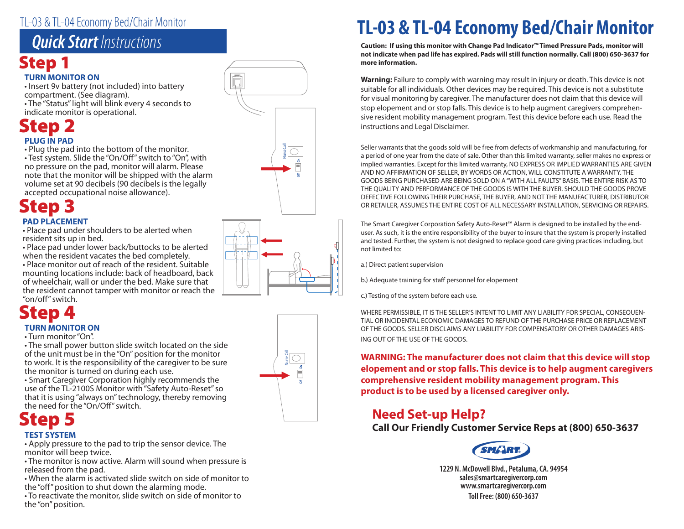### TL-03 & TL-04 Economy Bed/Chair Monitor

## *Quick Start Instructions*

# Step 1

### **TURN MONITOR ON**

• Insert 9v battery (not included) into battery compartment. (See diagram).

• The "Status" light will blink every 4 seconds to indicate monitor is operational.

## **PLUG IN PAD** Step 2

• Plug the pad into the bottom of the monitor.

• Test system. Slide the "On/Off" switch to "On", with no pressure on the pad, monitor will alarm. Please note that the monitor will be shipped with the alarm volume set at 90 decibels (90 decibels is the legally accepted occupational noise allowance).

### Step 3 **PAD PLACEMENT**

• Place pad under shoulders to be alerted when

resident sits up in bed. • Place pad under lower back/buttocks to be alerted when the resident vacates the bed completely.

• Place monitor out of reach of the resident. Suitable mounting locations include: back of headboard, back of wheelchair, wall or under the bed. Make sure that the resident cannot tamper with monitor or reach the "on/off" switch.

# Step 4

### **TURN MONITOR ON**

• Turn monitor "On".

• The small power button slide switch located on the side of the unit must be in the "On" position for the monitor to work. It is the responsibility of the caregiver to be sure the monitor is turned on during each use.

• Smart Caregiver Corporation highly recommends the use of the TL-2100S Monitor with "Safety Auto-Reset" so that it is using "always on" technology, thereby removing the need for the "On/Off" switch.

### Step 5 **TEST SYSTEM**

• Apply pressure to the pad to trip the sensor device. The monitor will beep twice.

• The monitor is now active. Alarm will sound when pressure is released from the pad.

• When the alarm is activated slide switch on side of monitor to the "off" position to shut down the alarming mode.

• To reactivate the monitor, slide switch on side of monitor to the "on" position.







# **TL-03 & TL-04 Economy Bed/Chair Monitor**

**Caution: If using this monitor with Change Pad Indicator™ Timed Pressure Pads, monitor will not indicate when pad life has expired. Pads will still function normally. Call (800) 650-3637 for more information.**

**Warning:** Failure to comply with warning may result in injury or death. This device is not suitable for all individuals. Other devices may be required. This device is not a substitute for visual monitoring by caregiver. The manufacturer does not claim that this device will stop elopement and or stop falls. This device is to help augment caregivers comprehensive resident mobility management program. Test this device before each use. Read the instructions and Legal Disclaimer.

Seller warrants that the goods sold will be free from defects of workmanship and manufacturing, for a period of one year from the date of sale. Other than this limited warranty, seller makes no express or implied warranties. Except for this limited warranty, NO EXPRESS OR IMPLIED WARRANTIES ARE GIVEN AND NO AFFIRMATION OF SELLER, BY WORDS OR ACTION, WILL CONSTITUTE A WARRANTY. THE GOODS BEING PURCHASED ARE BEING SOLD ON A "WITH ALL FAULTS" BASIS. THE ENTIRE RISK AS TO THE QUALITY AND PERFORMANCE OF THE GOODS IS WITH THE BUYER. SHOULD THE GOODS PROVE DEFECTIVE FOLLOWING THEIR PURCHASE, THE BUYER, AND NOT THE MANUFACTURER, DISTRIBUTOR OR RETAILER, ASSUMES THE ENTIRE COST OF ALL NECESSARY INSTALLATION, SERVICING OR REPAIRS.

The Smart Caregiver Corporation Safety Auto-Reset™ Alarm is designed to be installed by the enduser. As such, it is the entire responsibility of the buyer to insure that the system is properly installed and tested. Further, the system is not designed to replace good care giving practices including, but not limited to:

a.) Direct patient supervision

b.) Adequate training for staff personnel for elopement

c.) Testing of the system before each use.

WHERE PERMISSIBLE, IT IS THE SELLER'S INTENT TO LIMIT ANY LIABILITY FOR SPECIAL, CONSEQUEN-TIAL OR INCIDENTAL ECONOMIC DAMAGES TO REFUND OF THE PURCHASE PRICE OR REPLACEMENT OF THE GOODS. SELLER DISCLAIMS ANY LIABILITY FOR COMPENSATORY OR OTHER DAMAGES ARIS-ING OUT OF THE USE OF THE GOODS.

**WARNING: The manufacturer does not claim that this device will stop elopement and or stop falls. This device is to help augment caregivers comprehensive resident mobility management program. This product is to be used by a licensed caregiver only.**

## **Need Set-up Help?**

**Call Our Friendly Customer Service Reps at (800) 650-3637**



**1229 N. McDowell Blvd., Petaluma, CA. 94954 sales@smartcaregivercorp.com www.smartcaregivercorp.com Toll Free: (800) 650-3637**